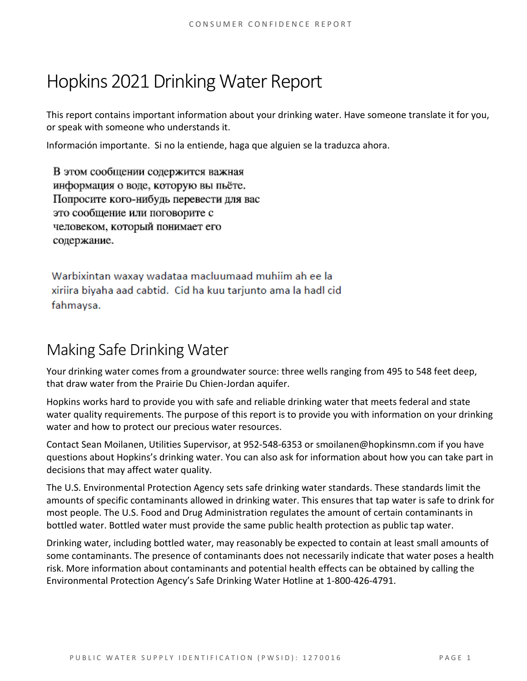# Hopkins 2021 Drinking Water Report

This report contains important information about your drinking water. Have someone translate it for you, or speak with someone who understands it.

Información importante. Si no la entiende, haga que alguien se la traduzca ahora.

В этом сообщении содержится важная информация о воде, которую вы пьёте. Попросите кого-нибудь перевести для вас это сообщение или поговорите с человеком, который понимает его содержание.

Warbixintan waxay wadataa macluumaad muhiim ah ee la xiriira biyaha aad cabtid. Cid ha kuu tarjunto ama la hadl cid fahmaysa.

# Making Safe Drinking Water

Your drinking water comes from a groundwater source: three wells ranging from 495 to 548 feet deep, that draw water from the Prairie Du Chien-Jordan aquifer.

Hopkins works hard to provide you with safe and reliable drinking water that meets federal and state water quality requirements. The purpose of this report is to provide you with information on your drinking water and how to protect our precious water resources.

Contact Sean Moilanen, Utilities Supervisor, at 952-548-6353 or smoilanen@hopkinsmn.com if you have questions about Hopkins's drinking water. You can also ask for information about how you can take part in decisions that may affect water quality.

The U.S. Environmental Protection Agency sets safe drinking water standards. These standards limit the amounts of specific contaminants allowed in drinking water. This ensures that tap water is safe to drink for most people. The U.S. Food and Drug Administration regulates the amount of certain contaminants in bottled water. Bottled water must provide the same public health protection as public tap water.

Drinking water, including bottled water, may reasonably be expected to contain at least small amounts of some contaminants. The presence of contaminants does not necessarily indicate that water poses a health risk. More information about contaminants and potential health effects can be obtained by calling the Environmental Protection Agency's Safe Drinking Water Hotline at 1-800-426-4791.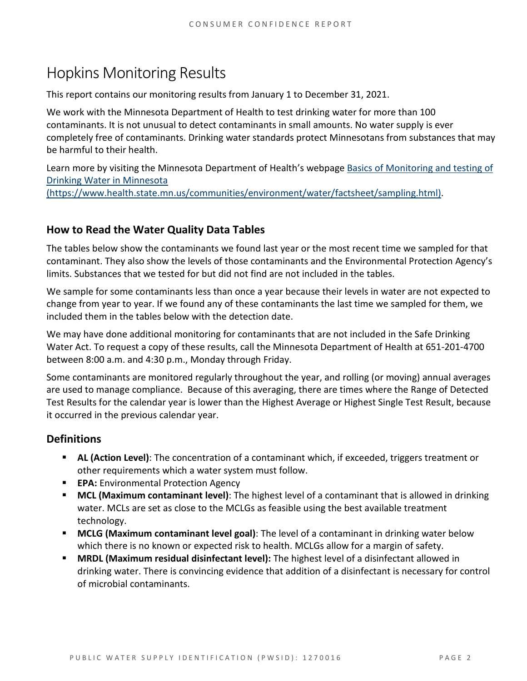# Hopkins Monitoring Results

This report contains our monitoring results from January 1 to December 31, 2021.

We work with the Minnesota Department of Health to test drinking water for more than 100 contaminants. It is not unusual to detect contaminants in small amounts. No water supply is ever completely free of contaminants. Drinking water standards protect Minnesotans from substances that may be harmful to their health.

Learn more by visiting the Minnesota Department of Health's webpage [Basics of Monitoring and testing of](https://www.health.state.mn.us/communities/environment/water/factsheet/sampling.html)  [Drinking Water in Minnesota](https://www.health.state.mn.us/communities/environment/water/factsheet/sampling.html)  [\(https://www.health.state.mn.us/communities/environment/water/factsheet/sampling.html\).](https://www.health.state.mn.us/communities/environment/water/factsheet/sampling.html)

## **How to Read the Water Quality Data Tables**

The tables below show the contaminants we found last year or the most recent time we sampled for that contaminant. They also show the levels of those contaminants and the Environmental Protection Agency's limits. Substances that we tested for but did not find are not included in the tables.

We sample for some contaminants less than once a year because their levels in water are not expected to change from year to year. If we found any of these contaminants the last time we sampled for them, we included them in the tables below with the detection date.

We may have done additional monitoring for contaminants that are not included in the Safe Drinking Water Act. To request a copy of these results, call the Minnesota Department of Health at 651-201-4700 between 8:00 a.m. and 4:30 p.m., Monday through Friday.

Some contaminants are monitored regularly throughout the year, and rolling (or moving) annual averages are used to manage compliance. Because of this averaging, there are times where the Range of Detected Test Results for the calendar year is lower than the Highest Average or Highest Single Test Result, because it occurred in the previous calendar year.

## **Definitions**

- **AL (Action Level)**: The concentration of a contaminant which, if exceeded, triggers treatment or other requirements which a water system must follow.
- **EPA:** Environmental Protection Agency
- **MCL (Maximum contaminant level)**: The highest level of a contaminant that is allowed in drinking water. MCLs are set as close to the MCLGs as feasible using the best available treatment technology.
- **MCLG (Maximum contaminant level goal)**: The level of a contaminant in drinking water below which there is no known or expected risk to health. MCLGs allow for a margin of safety.
- **MRDL (Maximum residual disinfectant level):** The highest level of a disinfectant allowed in drinking water. There is convincing evidence that addition of a disinfectant is necessary for control of microbial contaminants.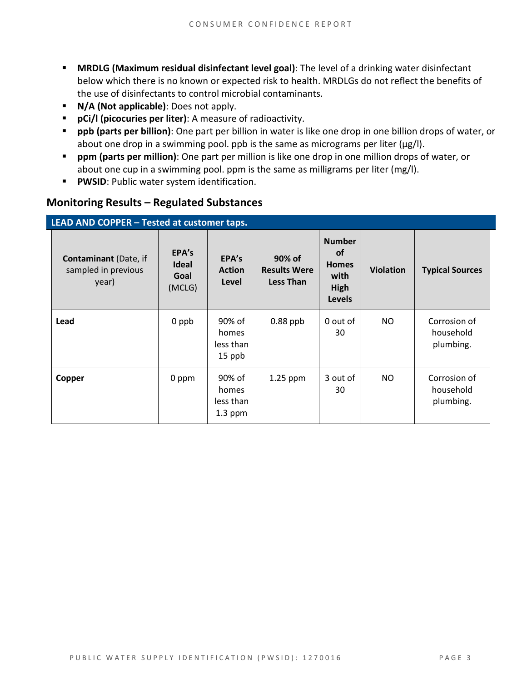- **MRDLG (Maximum residual disinfectant level goal)**: The level of a drinking water disinfectant below which there is no known or expected risk to health. MRDLGs do not reflect the benefits of the use of disinfectants to control microbial contaminants.
- **N/A (Not applicable)**: Does not apply.
- **pCi/l (picocuries per liter)**: A measure of radioactivity.
- **ppb (parts per billion)**: One part per billion in water is like one drop in one billion drops of water, or about one drop in a swimming pool. ppb is the same as micrograms per liter (μg/l).
- **ppm (parts per million)**: One part per million is like one drop in one million drops of water, or about one cup in a swimming pool. ppm is the same as milligrams per liter (mg/l).
- **PWSID**: Public water system identification.

#### **Monitoring Results – Regulated Substances**

| LEAD AND COPPER - Tested at customer taps.                   |                                         |                                           |                                                   |                                                                             |                  |                                        |  |
|--------------------------------------------------------------|-----------------------------------------|-------------------------------------------|---------------------------------------------------|-----------------------------------------------------------------------------|------------------|----------------------------------------|--|
| <b>Contaminant</b> (Date, if<br>sampled in previous<br>year) | EPA's<br><b>Ideal</b><br>Goal<br>(MCLG) | EPA's<br><b>Action</b><br>Level           | 90% of<br><b>Results Were</b><br><b>Less Than</b> | <b>Number</b><br><b>of</b><br><b>Homes</b><br>with<br>High<br><b>Levels</b> | <b>Violation</b> | <b>Typical Sources</b>                 |  |
| Lead                                                         | 0 ppb                                   | 90% of<br>homes<br>less than<br>15 ppb    | $0.88$ ppb                                        | 0 out of<br>30                                                              | NO.              | Corrosion of<br>household<br>plumbing. |  |
| Copper                                                       | 0 ppm                                   | 90% of<br>homes<br>less than<br>$1.3$ ppm | 1.25 ppm                                          | 3 out of<br>30                                                              | NO.              | Corrosion of<br>household<br>plumbing. |  |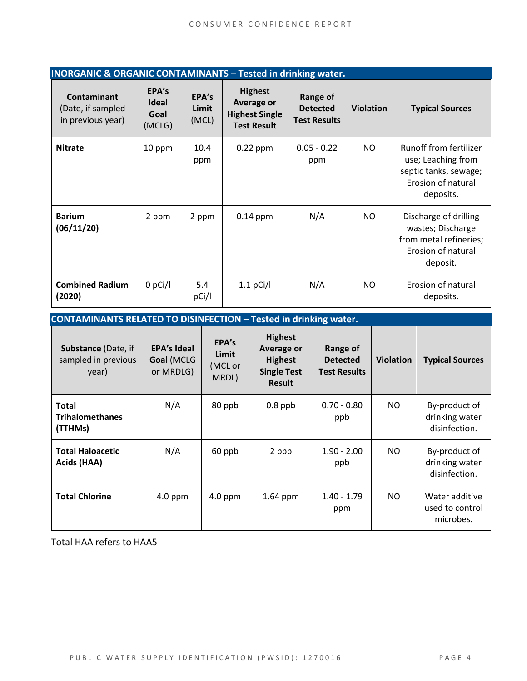| <b>INORGANIC &amp; ORGANIC CONTAMINANTS - Tested in drinking water.</b> |                                         |                         |                                                                             |                                                           |                  |                                                                                                          |  |
|-------------------------------------------------------------------------|-----------------------------------------|-------------------------|-----------------------------------------------------------------------------|-----------------------------------------------------------|------------------|----------------------------------------------------------------------------------------------------------|--|
| <b>Contaminant</b><br>(Date, if sampled<br>in previous year)            | EPA's<br><b>Ideal</b><br>Goal<br>(MCLG) | EPA's<br>Limit<br>(MCL) | <b>Highest</b><br>Average or<br><b>Highest Single</b><br><b>Test Result</b> | <b>Range of</b><br><b>Detected</b><br><b>Test Results</b> | <b>Violation</b> | <b>Typical Sources</b>                                                                                   |  |
| <b>Nitrate</b>                                                          | 10 ppm                                  | 10.4<br>ppm             | $0.22$ ppm                                                                  | $0.05 - 0.22$<br>ppm                                      | NO               | Runoff from fertilizer<br>use; Leaching from<br>septic tanks, sewage;<br>Erosion of natural<br>deposits. |  |
| <b>Barium</b><br>(06/11/20)                                             | 2 ppm                                   | 2 ppm                   | $0.14$ ppm                                                                  | N/A                                                       | NO.              | Discharge of drilling<br>wastes; Discharge<br>from metal refineries;<br>Erosion of natural<br>deposit.   |  |
| <b>Combined Radium</b><br>(2020)                                        | $0$ pCi/l                               | 5.4<br>pCi/l            | $1.1$ pCi/l                                                                 | N/A                                                       | NO.              | Erosion of natural<br>deposits.                                                                          |  |

| <b>CONTAMINANTS RELATED TO DISINFECTION - Tested in drinking water.</b> |                                               |                                    |                                                                                       |                                                    |                  |                                                  |  |
|-------------------------------------------------------------------------|-----------------------------------------------|------------------------------------|---------------------------------------------------------------------------------------|----------------------------------------------------|------------------|--------------------------------------------------|--|
| <b>Substance (Date, if</b><br>sampled in previous<br>year)              | <b>EPA's Ideal</b><br>Goal (MCLG<br>or MRDLG) | EPA's<br>Limit<br>(MCL or<br>MRDL) | <b>Highest</b><br>Average or<br><b>Highest</b><br><b>Single Test</b><br><b>Result</b> | Range of<br><b>Detected</b><br><b>Test Results</b> | <b>Violation</b> | <b>Typical Sources</b>                           |  |
| <b>Total</b><br><b>Trihalomethanes</b><br>(TTHMs)                       | N/A                                           | 80 ppb                             | $0.8$ ppb                                                                             | $0.70 - 0.80$<br>ppb                               | NO.              | By-product of<br>drinking water<br>disinfection. |  |
| <b>Total Haloacetic</b><br>Acids (HAA)                                  | N/A                                           | 60 ppb                             | 2 ppb                                                                                 | $1.90 - 2.00$<br>ppb                               | NO.              | By-product of<br>drinking water<br>disinfection. |  |
| <b>Total Chlorine</b>                                                   | $4.0$ ppm                                     | $4.0$ ppm                          | $1.64$ ppm                                                                            | $1.40 - 1.79$<br>ppm                               | NO.              | Water additive<br>used to control<br>microbes.   |  |

Total HAA refers to HAA5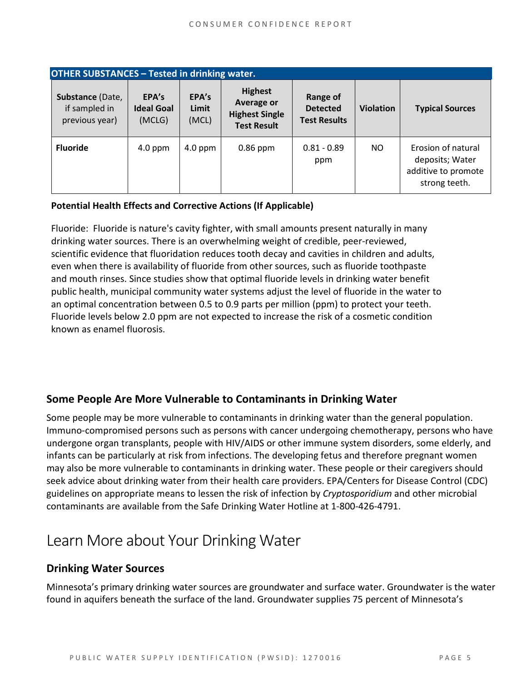| <b>OTHER SUBSTANCES - Tested in drinking water.</b> |                                      |                         |                                                                             |                                                    |                  |                                                                               |  |
|-----------------------------------------------------|--------------------------------------|-------------------------|-----------------------------------------------------------------------------|----------------------------------------------------|------------------|-------------------------------------------------------------------------------|--|
| Substance (Date,<br>if sampled in<br>previous year) | EPA's<br><b>Ideal Goal</b><br>(MCLG) | EPA's<br>Limit<br>(MCL) | <b>Highest</b><br>Average or<br><b>Highest Single</b><br><b>Test Result</b> | Range of<br><b>Detected</b><br><b>Test Results</b> | <b>Violation</b> | <b>Typical Sources</b>                                                        |  |
| <b>Fluoride</b>                                     | $4.0$ ppm                            | $4.0$ ppm               | $0.86$ ppm                                                                  | $0.81 - 0.89$<br>ppm                               | NO.              | Erosion of natural<br>deposits; Water<br>additive to promote<br>strong teeth. |  |

#### **Potential Health Effects and Corrective Actions (If Applicable)**

Fluoride: Fluoride is nature's cavity fighter, with small amounts present naturally in many drinking water sources. There is an overwhelming weight of credible, peer-reviewed, scientific evidence that fluoridation reduces tooth decay and cavities in children and adults, even when there is availability of fluoride from other sources, such as fluoride toothpaste and mouth rinses. Since studies show that optimal fluoride levels in drinking water benefit public health, municipal community water systems adjust the level of fluoride in the water to an optimal concentration between 0.5 to 0.9 parts per million (ppm) to protect your teeth. Fluoride levels below 2.0 ppm are not expected to increase the risk of a cosmetic condition known as enamel fluorosis.

## **Some People Are More Vulnerable to Contaminants in Drinking Water**

Some people may be more vulnerable to contaminants in drinking water than the general population. Immuno-compromised persons such as persons with cancer undergoing chemotherapy, persons who have undergone organ transplants, people with HIV/AIDS or other immune system disorders, some elderly, and infants can be particularly at risk from infections. The developing fetus and therefore pregnant women may also be more vulnerable to contaminants in drinking water. These people or their caregivers should seek advice about drinking water from their health care providers. EPA/Centers for Disease Control (CDC) guidelines on appropriate means to lessen the risk of infection by *Cryptosporidium* and other microbial contaminants are available from the Safe Drinking Water Hotline at 1-800-426-4791.

# Learn More about Your Drinking Water

#### **Drinking Water Sources**

Minnesota's primary drinking water sources are groundwater and surface water. Groundwater is the water found in aquifers beneath the surface of the land. Groundwater supplies 75 percent of Minnesota's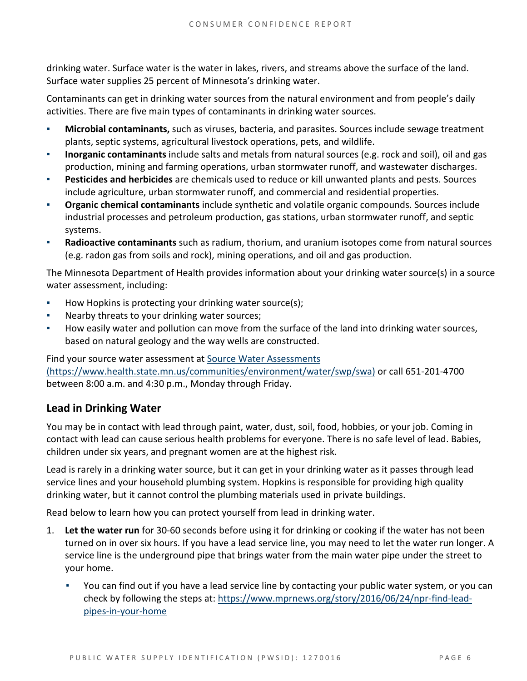drinking water. Surface water is the water in lakes, rivers, and streams above the surface of the land. Surface water supplies 25 percent of Minnesota's drinking water.

Contaminants can get in drinking water sources from the natural environment and from people's daily activities. There are five main types of contaminants in drinking water sources.

- **Microbial contaminants,** such as viruses, bacteria, and parasites. Sources include sewage treatment plants, septic systems, agricultural livestock operations, pets, and wildlife.
- **Inorganic contaminants** include salts and metals from natural sources (e.g. rock and soil), oil and gas production, mining and farming operations, urban stormwater runoff, and wastewater discharges.
- Pesticides and herbicides are chemicals used to reduce or kill unwanted plants and pests. Sources include agriculture, urban stormwater runoff, and commercial and residential properties.
- **Organic chemical contaminants** include synthetic and volatile organic compounds. Sources include industrial processes and petroleum production, gas stations, urban stormwater runoff, and septic systems.
- **Radioactive contaminants** such as radium, thorium, and uranium isotopes come from natural sources (e.g. radon gas from soils and rock), mining operations, and oil and gas production.

The Minnesota Department of Health provides information about your drinking water source(s) in a source water assessment, including:

- How Hopkins is protecting your drinking water source(s);
- Nearby threats to your drinking water sources;
- How easily water and pollution can move from the surface of the land into drinking water sources, based on natural geology and the way wells are constructed.

Find your source water assessment a[t Source Water Assessments](https://www.health.state.mn.us/communities/environment/water/swp/swa)  [\(https://www.health.state.mn.us/communities/environment/water/swp/swa\)](https://www.health.state.mn.us/communities/environment/water/swp/swa) or call 651-201-4700 between 8:00 a.m. and 4:30 p.m., Monday through Friday.

## **Lead in Drinking Water**

You may be in contact with lead through paint, water, dust, soil, food, hobbies, or your job. Coming in contact with lead can cause serious health problems for everyone. There is no safe level of lead. Babies, children under six years, and pregnant women are at the highest risk.

Lead is rarely in a drinking water source, but it can get in your drinking water as it passes through lead service lines and your household plumbing system. Hopkins is responsible for providing high quality drinking water, but it cannot control the plumbing materials used in private buildings.

Read below to learn how you can protect yourself from lead in drinking water.

- 1. **Let the water run** for 30-60 seconds before using it for drinking or cooking if the water has not been turned on in over six hours. If you have a lead service line, you may need to let the water run longer. A service line is the underground pipe that brings water from the main water pipe under the street to your home.
	- You can find out if you have a lead service line by contacting your public water system, or you can check by following the steps at: [https://www.mprnews.org/story/2016/06/24/npr-find-lead](https://www.mprnews.org/story/2016/06/24/npr-find-lead-pipes-in-your-home)[pipes-in-your-home](https://www.mprnews.org/story/2016/06/24/npr-find-lead-pipes-in-your-home)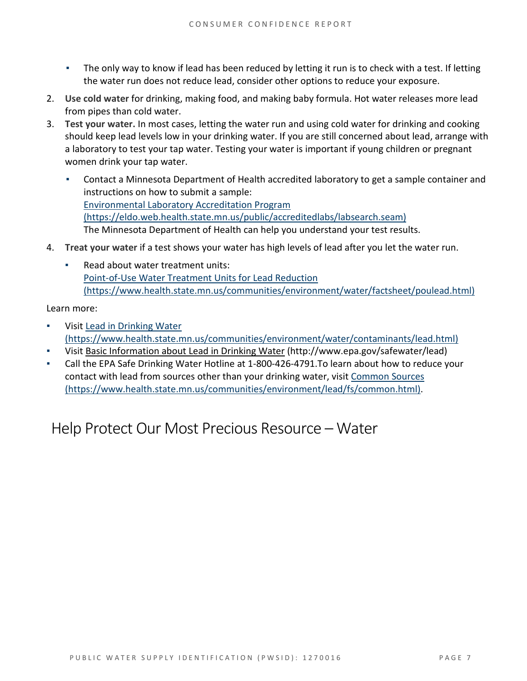- **•** The only way to know if lead has been reduced by letting it run is to check with a test. If letting the water run does not reduce lead, consider other options to reduce your exposure.
- 2. **Use cold water** for drinking, making food, and making baby formula. Hot water releases more lead from pipes than cold water.
- 3. **Test your water.** In most cases, letting the water run and using cold water for drinking and cooking should keep lead levels low in your drinking water. If you are still concerned about lead, arrange with a laboratory to test your tap water. Testing your water is important if young children or pregnant women drink your tap water.
	- Contact a Minnesota Department of Health accredited laboratory to get a sample container and instructions on how to submit a sample: [Environmental Laboratory Accreditation Program](https://eldo.web.health.state.mn.us/public/accreditedlabs/labsearch.seam)  [\(https://eldo.web.health.state.mn.us/public/accreditedlabs/labsearch.seam\)](https://eldo.web.health.state.mn.us/public/accreditedlabs/labsearch.seam)  The Minnesota Department of Health can help you understand your test results.
- 4. **Treat your water** if a test shows your water has high levels of lead after you let the water run.
	- Read about water treatment units: [Point-of-Use Water Treatment Units for](https://www.health.state.mn.us/communities/environment/water/factsheet/poulead.html) Lead Reduction [\(https://www.health.state.mn.us/communities/environment/water/factsheet/poulead.html\)](https://www.health.state.mn.us/communities/environment/water/factsheet/poulead.html)

Learn more:

- Visit [Lead in Drinking Water](https://www.health.state.mn.us/communities/environment/water/contaminants/lead.html)  [\(https://www.health.state.mn.us/communities/environment/water/contaminants/lead.html\)](https://www.health.state.mn.us/communities/environment/water/contaminants/lead.html)
- Visit [Basic Information about Lead in Drinking Water](http://www.epa.gov/safewater/lead) (http://www.epa.gov/safewater/lead)
- Call the EPA Safe Drinking Water Hotline at 1-800-426-4791. To learn about how to reduce your contact with lead from sources other than your drinking water, visi[t Common Sources](https://www.health.state.mn.us/communities/environment/lead/fs/common.html)  [\(https://www.health.state.mn.us/communities/environment/lead/fs/common.html\).](https://www.health.state.mn.us/communities/environment/lead/fs/common.html)

Help Protect Our Most Precious Resource – Water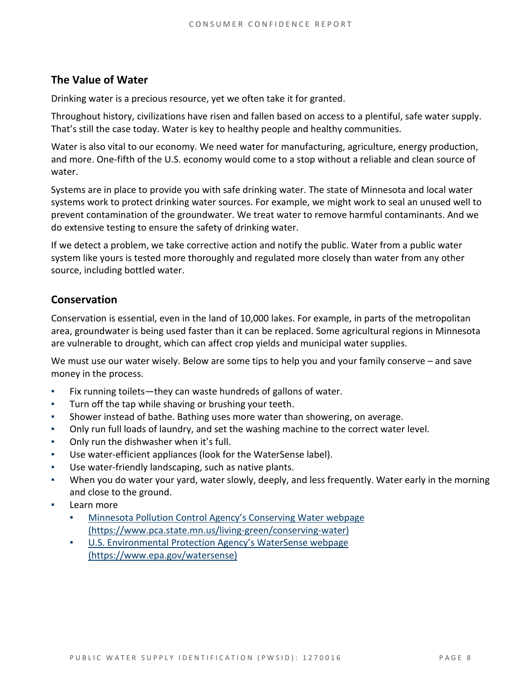## **The Value of Water**

Drinking water is a precious resource, yet we often take it for granted.

Throughout history, civilizations have risen and fallen based on access to a plentiful, safe water supply. That's still the case today. Water is key to healthy people and healthy communities.

Water is also vital to our economy. We need water for manufacturing, agriculture, energy production, and more. One-fifth of the U.S. economy would come to a stop without a reliable and clean source of water.

Systems are in place to provide you with safe drinking water. The state of Minnesota and local water systems work to protect drinking water sources. For example, we might work to seal an unused well to prevent contamination of the groundwater. We treat water to remove harmful contaminants. And we do extensive testing to ensure the safety of drinking water.

If we detect a problem, we take corrective action and notify the public. Water from a public water system like yours is tested more thoroughly and regulated more closely than water from any other source, including bottled water.

#### **Conservation**

Conservation is essential, even in the land of 10,000 lakes. For example, in parts of the metropolitan area, groundwater is being used faster than it can be replaced. Some agricultural regions in Minnesota are vulnerable to drought, which can affect crop yields and municipal water supplies.

We must use our water wisely. Below are some tips to help you and your family conserve – and save money in the process.

- Fix running toilets—they can waste hundreds of gallons of water.
- Turn off the tap while shaving or brushing your teeth.
- Shower instead of bathe. Bathing uses more water than showering, on average.
- Only run full loads of laundry, and set the washing machine to the correct water level.
- **Only run the dishwasher when it's full.**
- Use water-efficient appliances (look for the WaterSense label).
- Use water-friendly landscaping, such as native plants.
- When you do water your yard, water slowly, deeply, and less frequently. Water early in the morning and close to the ground.
- Learn more
	- Minnesota Pollution Control Agency's Conserving Water webpage [\(https://www.pca.state.mn.us/living-green/conserving-water\)](https://www.pca.state.mn.us/living-green/conserving-water)
	- [U.S. Environmental Protection Agency's WaterSense webpage](https://www.epa.gov/watersense)  [\(https://www.epa.gov/watersense\)](https://www.epa.gov/watersense)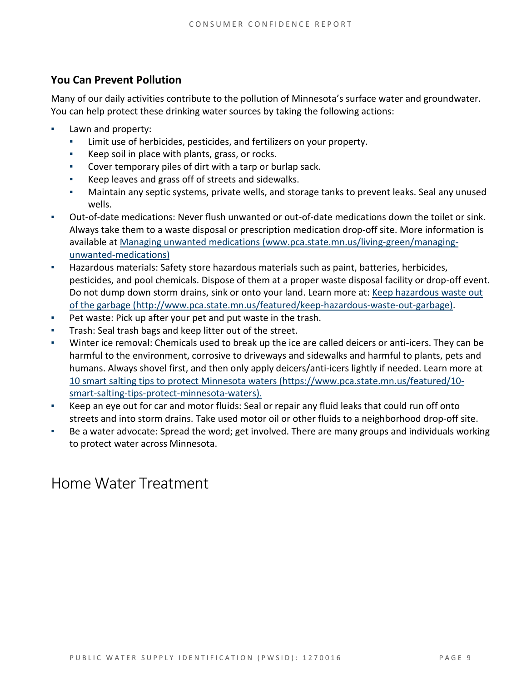# **You Can Prevent Pollution**

Many of our daily activities contribute to the pollution of Minnesota's surface water and groundwater. You can help protect these drinking water sources by taking the following actions:

- **•** Lawn and property:
	- Limit use of herbicides, pesticides, and fertilizers on your property.
	- Keep soil in place with plants, grass, or rocks.
	- Cover temporary piles of dirt with a tarp or burlap sack.
	- Keep leaves and grass off of streets and sidewalks.
	- Maintain any septic systems, private wells, and storage tanks to prevent leaks. Seal any unused wells.
- Out-of-date medications: Never flush unwanted or out-of-date medications down the toilet or sink. Always take them to a waste disposal or prescription medication drop-off site. More information is available at [Managing unwanted medications \(www.pca.state.mn.us/living-green/managing](http://www.pca.state.mn.us/living-green/managing-unwanted-medications)[unwanted-medications\)](http://www.pca.state.mn.us/living-green/managing-unwanted-medications)
- Hazardous materials: Safety store hazardous materials such as paint, batteries, herbicides, pesticides, and pool chemicals. Dispose of them at a proper waste disposal facility or drop-off event. Do not dump down storm drains, sink or onto your land. Learn more at: Keep hazardous waste out [of the garbage \(http://www.pca.state.mn.us/featured/keep-hazardous-waste-out-garbage\).](http://www.pca.state.mn.us/featured/keep-hazardous-waste-out-garbage)
- Pet waste: Pick up after your pet and put waste in the trash.
- Trash: Seal trash bags and keep litter out of the street.
- Winter ice removal: Chemicals used to break up the ice are called deicers or anti-icers. They can be harmful to the environment, corrosive to driveways and sidewalks and harmful to plants, pets and humans. Always shovel first, and then only apply deicers/anti-icers lightly if needed. Learn more at [10 smart salting tips to protect Minnesota waters \(https://www.pca.state.mn.us/featured/10](https://www.pca.state.mn.us/featured/10-smart-salting-tips-protect-minnesota-waters) [smart-salting-tips-protect-minnesota-waters\).](https://www.pca.state.mn.us/featured/10-smart-salting-tips-protect-minnesota-waters)
- Keep an eye out for car and motor fluids: Seal or repair any fluid leaks that could run off onto streets and into storm drains. Take used motor oil or other fluids to a neighborhood drop-off site.
- Be a water advocate: Spread the word; get involved. There are many groups and individuals working to protect water across Minnesota.

# Home Water Treatment